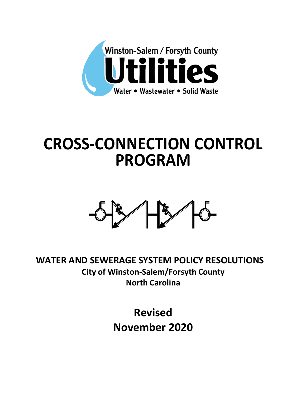

# **CROSS-CONNECTION CONTROL PROGRAM**



**WATER AND SEWERAGE SYSTEM POLICY RESOLUTIONS City of Winston-Salem/Forsyth County North Carolina**

> **Revised November 2020**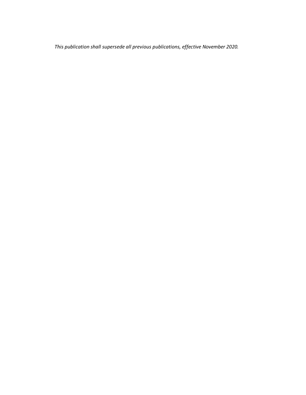*This publication shall supersede all previous publications, effective November 2020.*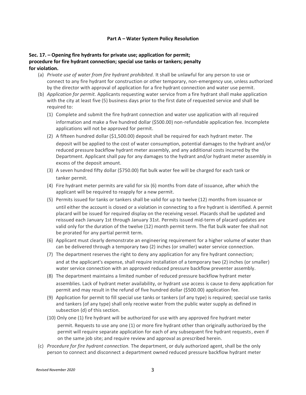#### **Part A – Water System Policy Resolution**

## **Sec. 17. – Opening fire hydrants for private use; application for permit; procedure for fire hydrant connection; special use tanks or tankers; penalty for violation.**

- (a) *Private use of water from fire hydrant prohibited.* It shall be unlawful for any person to use or connect to any fire hydrant for construction or other temporary, non-emergency use, unless authorized by the director with approval of application for a fire hydrant connection and water use permit.
- (b) *Application for permit.* Applicants requesting water service from a fire hydrant shall make application with the city at least five (5) business days prior to the first date of requested service and shall be required to:
	- (1) Complete and submit the fire hydrant connection and water use application with all required information and make a five hundred dollar (\$500.00) non-refundable application fee. Incomplete applications will not be approved for permit.
	- (2) A fifteen hundred dollar (\$1,500.00) deposit shall be required for each hydrant meter. The deposit will be applied to the cost of water consumption, potential damages to the hydrant and/or reduced pressure backflow hydrant meter assembly, and any additional costs incurred by the Department. Applicant shall pay for any damages to the hydrant and/or hydrant meter assembly in excess of the deposit amount.
	- (3) A seven hundred fifty dollar (\$750.00) flat bulk water fee will be charged for each tank or tanker permit.
	- (4) Fire hydrant meter permits are valid for six (6) months from date of issuance, after which the applicant will be required to reapply for a new permit.
	- (5) Permits issued for tanks or tankers shall be valid for up to twelve (12) months from issuance or until either the account is closed or a violation in connecting to a fire hydrant is identified. A permit placard will be issued for required display on the receiving vessel. Placards shall be updated and reissued each January 1st through January 31st. Permits issued mid-term of placard updates are valid only for the duration of the twelve (12) month permit term. The flat bulk water fee shall not be prorated for any partial permit term.
	- (6) Applicant must clearly demonstrate an engineering requirement for a higher volume of water than can be delivered through a temporary two (2) inches (or smaller) water service connection.
	- (7) The department reserves the right to deny any application for any fire hydrant connection; and at the applicant's expense, shall require installation of a temporary two (2) inches (or smaller) water service connection with an approved reduced pressure backflow preventer assembly.
	- (8) The department maintains a limited number of reduced pressure backflow hydrant meter assemblies. Lack of hydrant meter availability, or hydrant use access is cause to deny application for permit and may result in the refund of five hundred dollar (\$500.00) application fee.
	- (9) Application for permit to fill special use tanks or tankers (of any type) is required; special use tanks and tankers (of any type) shall only receive water from the public water supply as defined in subsection (d) of this section.
	- (10) Only one (1) fire hydrant will be authorized for use with any approved fire hydrant meter permit. Requests to use any one (1) or more fire hydrant other than originally authorized by the permit will require separate application for each of any subsequent fire hydrant requests, even if on the same job site; and require review and approval as prescribed herein.
- (c) *Procedure for fire hydrant connection.* The department, or duly authorized agent, shall be the only person to connect and disconnect a department owned reduced pressure backflow hydrant meter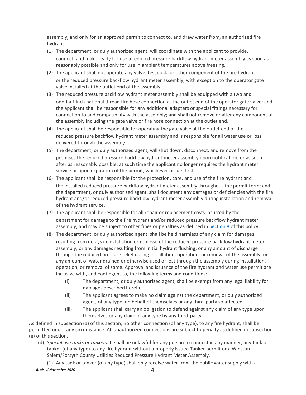assembly, and only for an approved permit to connect to, and draw water from, an authorized fire hydrant.

- (1) The department, or duly authorized agent, will coordinate with the applicant to provide, connect, and make ready for use a reduced pressure backflow hydrant meter assembly as soon as reasonably possible and only for use in ambient temperatures above freezing.
- (2) The applicant shall not operate any valve, test cock, or other component of the fire hydrant or the reduced pressure backflow hydrant meter assembly, with exception to the operator gate valve installed at the outlet end of the assembly.
- (3) The reduced pressure backflow hydrant meter assembly shall be equipped with a two and one-half-inch national thread fire hose connection at the outlet end of the operator gate valve; and the applicant shall be responsible for any additional adapters or special fittings necessary for connection to and compatibility with the assembly; and shall not remove or alter any component of the assembly including the gate valve or fire hose connection at the outlet end.
- (4) The applicant shall be responsible for operating the gate valve at the outlet end of the reduced pressure backflow hydrant meter assembly and is responsible for all water use or loss delivered through the assembly.
- (5) The department, or duly authorized agent, will shut down, disconnect, and remove from the premises the reduced pressure backflow hydrant meter assembly upon notification, or as soon after as reasonably possible, at such time the applicant no longer requires the hydrant meter service or upon expiration of the permit, whichever occurs first.
- (6) The applicant shall be responsible for the protection, care, and use of the fire hydrant and the installed reduced pressure backflow hydrant meter assembly throughout the permit term; and the department, or duly authorized agent, shall document any damages or deficiencies with the fire hydrant and/or reduced pressure backflow hydrant meter assembly during installation and removal of the hydrant service.
- (7) The applicant shall be responsible for all repair or replacement costs incurred by the department for damage to the fire hydrant and/or reduced pressure backflow hydrant meter assembly; and may be subject to other fines or penalties as defined in [Section 8](https://library.municode.com/nc/winston-salem/codes/water_and_sewer?nodeId=PTAWASYPORE_ARTIINGE_S8UNDEDAOBACAPWASY) of this policy.
- (8) The department, or duly authorized agent, shall be held harmless of any claim for damages resulting from delays in installation or removal of the reduced pressure backflow hydrant meter assembly; or any damages resulting from initial hydrant flushing; or any amount of discharge through the reduced pressure relief during installation, operation, or removal of the assembly; or any amount of water drained or otherwise used or lost through the assembly during installation, operation, or removal of same. Approval and issuance of the fire hydrant and water use permit are inclusive with, and contingent to, the following terms and conditions:
	- (i) The department, or duly authorized agent, shall be exempt from any legal liability for damages described herein.
	- (ii) The applicant agrees to make no claim against the department, or duly authorized agent, of any type, on behalf of themselves or any third-party so affected.
	- (iii) The applicant shall carry an obligation to defend against any claim of any type upon themselves or any claim of any type by any third-party.

As defined in subsection (a) of this section, no other connection (of any type), to any fire hydrant, shall be permitted under any circumstance. All unauthorized connections are subject to penalty as defined in subsection (e) of this section.

(d) *Special use tanks or tankers.* It shall be unlawful for any person to connect in any manner, any tank or tanker (of any type) to any fire hydrant without a properly issued Tanker permit or a Winston Salem/Forsyth County Utilities Reduced Pressure Hydrant Meter Assembly.

*Revised November 2020* 4 (1) Any tank or tanker (of any type) shall only receive water from the public water supply with a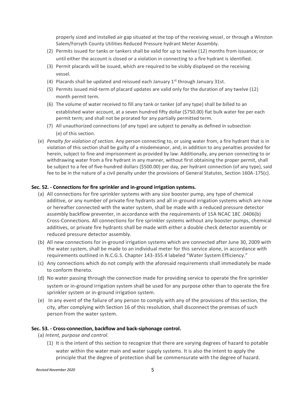properly sized and installed air gap situated at the top of the receiving vessel, or through a Winston Salem/Forsyth County Utilities Reduced Pressure hydrant Meter Assembly.

- (2) Permits issued for tanks or tankers shall be valid for up to twelve (12) months from issuance; or until either the account is closed or a violation in connecting to a fire hydrant is identified.
- (3) Permit placards will be issued, which are required to be visibly displayed on the receiving vessel.
- (4) Placards shall be updated and reissued each January  $1<sup>st</sup>$  through January 31st.
- (5) Permits issued mid-term of placard updates are valid only for the duration of any twelve (12) month permit term.
- (6) The volume of water received to fill any tank or tanker (of any type) shall be billed to an established water account, at a seven hundred fifty dollar (\$750.00) flat bulk water fee per each permit term; and shall not be prorated for any partially permitted term.
- (7) All unauthorized connections (of any type) are subject to penalty as defined in subsection (e) of this section.
- (e) *Penalty for violation of section.* Any person connecting to, or using water from, a fire hydrant that is in violation of this section shall be guilty of a misdemeanor, and, in addition to any penalties provided for herein, subject to fine and imprisonment as provided by law. Additionally, any person connecting to or withdrawing water from a fire hydrant in any manner, without first obtaining the proper permit, shall be subject to a fee of five-hundred dollars (\$500.00) per day, per hydrant connection (of any type), said fee to be in the nature of a civil penalty under the provisions of General Statutes, Section 160A-175(c).

#### **Sec. 52. - Connections for fire sprinkler and in-ground irrigation systems.**

- (a) All connections for fire sprinkler systems with any size booster pump, any type of chemical additive, or any number of private fire hydrants and all in-ground irrigation systems which are now or hereafter connected with the water system, shall be made with a reduced pressure detector assembly backflow preventer, in accordance with the requirements of 15A NCAC 18C .0406(b) Cross-Connections. All connections for fire sprinkler systems without any booster pumps, chemical additives, or private fire hydrants shall be made with either a double check detector assembly or reduced pressure detector assembly.
- (b) All new connections for in-ground irrigation systems which are connected after June 30, 2009 with the water system, shall be made to an individual meter for this service alone, in accordance with requirements outlined in N.C.G.S. Chapter 143-355.4 labeled "Water System Efficiency."
- (c) Any connections which do not comply with the aforesaid requirements shall immediately be made to conform thereto.
- (d) No water passing through the connection made for providing service to operate the fire sprinkler system or in-ground irrigation system shall be used for any purpose other than to operate the fire sprinkler system or in-ground irrigation system.
- (e) In any event of the failure of any person to comply with any of the provisions of this section, the city, after complying with Section 16 of this resolution, shall disconnect the premises of such person from the water system.

#### **Sec. 53. - Cross-connection, backflow and back-siphonage control.**

- (a) *Intent, purpose and control.*
	- (1) It is the intent of this section to recognize that there are varying degrees of hazard to potable water within the water main and water supply systems. It is also the intent to apply the principle that the degree of protection shall be commensurate with the degree of hazard.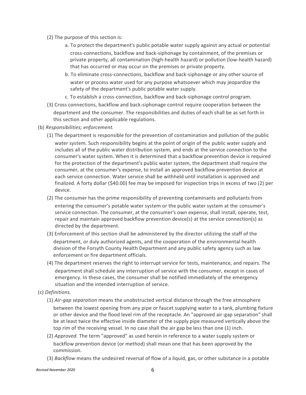- (2) The purpose of this section is:
	- a. To protect the department's public potable water supply against any actual or potential cross-connections, backflow and back-siphonage by containment, of the premises or private property, all contamination (high-health hazard) or pollution (low-health hazard) that has occurred or may occur on the premises or private property.
	- b. To eliminate cross-connections, backflow and back-siphonage or any other source of water or process water used for any purpose whatsoever which may jeopardize the safety of the department's public potable water supply.
	- c. To establish a cross-connection, backflow and back-siphonage control program.
- (3) Cross connections, backflow and back-siphonage control require cooperation between the department and the consumer. The responsibilities and duties of each shall be as set forth in this section and other applicable regulations.
- (b) *Responsibilities; enforcement.*
	- (1) The department is responsible for the prevention of contamination and pollution of the public water system. Such responsibility begins at the point of origin of the public water supply and includes all of the public water distribution system, and ends at the service connection to the consumer's water system. When it is determined that a backflow prevention device is required for the protection of the department's public water system, the department shall require the consumer, at the consumer's expense, to install an approved backflow prevention device at each service connection. Water service shall be withheld until installation is approved and finalized. A forty dollar (\$40.00) fee may be imposed for inspection trips in excess of two (2) per device.
	- (2) The consumer has the prime responsibility of preventing contaminants and pollutants from entering the consumer's potable water system or the public water system at the consumer's service connection. The consumer, at the consumer's own expense, shall install, operate, test, repair and maintain approved backflow prevention device(s) at the service connection(s) as directed by the department.
	- (3) Enforcement of this section shall be administered by the director utilizing the staff of the department, or duly authorized agents, and the cooperation of the environmental health division of the Forsyth County Health Department and any public safety agency such as law enforcement or fire department officials.
	- (4) The department reserves the right to interrupt service for tests, maintenance, and repairs. The department shall schedule any interruption of service with the consumer, except in cases of emergency. In these cases, the consumer shall be notified immediately of the emergency situation and the intended interruption of service.
- (c) *Definitions.*
	- (1) *Air-gap separation* means the unobstructed vertical distance through the free atmosphere between the lowest opening from any pipe or faucet supplying water to a tank, plumbing fixture or other device and the flood level rim of the receptacle. An "approved air-gap separation" shall be at least twice the effective inside diameter of the supply pipe measured vertically above the top rim of the receiving vessel. In no case shall the air gap be less than one (1) inch.
	- (2) *Approved.* The term "approved" as used herein in reference to a water supply system or backflow prevention device (or method) shall mean one that has been approved by the commission.
	- (3) *Backflow* means the undesired reversal of flow of a liquid, gas, or other substance in a potable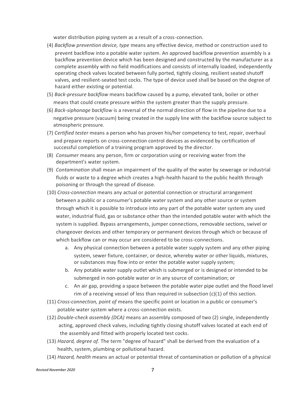water distribution piping system as a result of a cross-connection.

- (4) *Backflow prevention device, type* means any effective device, method or construction used to prevent backflow into a potable water system. An approved backflow prevention assembly is a backflow prevention device which has been designed and constructed by the manufacturer as a complete assembly with no field modifications and consists of internally loaded, independently operating check valves located between fully ported, tightly closing, resilient seated shutoff valves, and resilient-seated test cocks. The type of device used shall be based on the degree of hazard either existing or potential.
- (5) *Back-pressure backflow* means backflow caused by a pump, elevated tank, boiler or other means that could create pressure within the system greater than the supply pressure.
- (6) *Back-siphonage backflow* is a reversal of the normal direction of flow in the pipeline due to a negative pressure (vacuum) being created in the supply line with the backflow source subject to atmospheric pressure.
- (7) *Certified tester* means a person who has proven his/her competency to test, repair, overhaul and prepare reports on cross-connection control devices as evidenced by certification of successful completion of a training program approved by the director.
- (8) *Consumer* means any person, firm or corporation using or receiving water from the department's water system.
- (9) *Contamination* shall mean an impairment of the quality of the water by sewerage or industrial fluids or waste to a degree which creates a high-health hazard to the public health through poisoning or through the spread of disease.
- (10) *Cross-connection* means any actual or potential connection or structural arrangement between a public or a consumer's potable water system and any other source or system through which it is possible to introduce into any part of the potable water system any used water, industrial fluid, gas or substance other than the intended potable water with which the system is supplied. Bypass arrangements, jumper connections, removable sections, swivel or changeover devices and other temporary or permanent devices through which or because of which backflow can or may occur are considered to be cross-connections.
	- a. Any physical connection between a potable water supply system and any other piping system, sewer fixture, container, or device, whereby water or other liquids, mixtures, or substances may flow into or enter the potable water supply system;
	- b. Any potable water supply outlet which is submerged or is designed or intended to be submerged in non-potable water or in any source of contamination; or
	- c. An air gap, providing a space between the potable water pipe outlet and the flood level rim of a receiving vessel of less than required in subsection  $(c)(1)$  of this section.
- (11) *Cross-connection, point of* means the specific point or location in a public or consumer's potable water system where a cross-connection exists.
- (12) *Double-check assembly (DCA)* means an assembly composed of two (2) single, independently acting, approved check valves, including tightly closing shutoff valves located at each end of the assembly and fitted with properly located test cocks.
- (13) *Hazard, degree of.* The term "degree of hazard" shall be derived from the evaluation of a health, system, plumbing or pollutional hazard.
- (14) *Hazard, health* means an actual or potential threat of contamination or pollution of a physical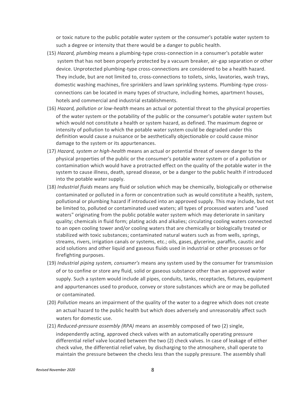or toxic nature to the public potable water system or the consumer's potable water system to such a degree or intensity that there would be a danger to public health.

- (15) *Hazard, plumbing* means a plumbing-type cross-connection in a consumer's potable water system that has not been properly protected by a vacuum breaker, air-gap separation or other device. Unprotected plumbing-type cross-connections are considered to be a health hazard. They include, but are not limited to, cross-connections to toilets, sinks, lavatories, wash trays, domestic washing machines, fire sprinklers and lawn sprinkling systems. Plumbing-type cross connections can be located in many types of structure, including homes, apartment houses, hotels and commercial and industrial establishments.
- (16) *Hazard, pollution or low-health* means an actual or potential threat to the physical properties of the water system or the potability of the public or the consumer's potable water system but which would not constitute a health or system hazard, as defined. The maximum degree or intensity of pollution to which the potable water system could be degraded under this definition would cause a nuisance or be aesthetically objectionable or could cause minor damage to the system or its appurtenances.
- (17) *Hazard, system or high-health* means an actual or potential threat of severe danger to the physical properties of the public or the consumer's potable water system or of a pollution or contamination which would have a protracted effect on the quality of the potable water in the system to cause illness, death, spread disease, or be a danger to the public health if introduced into the potable water supply.
- (18) *Industrial fluids* means any fluid or solution which may be chemically, biologically or otherwise contaminated or polluted in a form or concentration such as would constitute a health, system, pollutional or plumbing hazard if introduced into an approved supply. This may include, but not be limited to, polluted or contaminated used waters; all types of processed waters and "used waters" originating from the public potable water system which may deteriorate in sanitary quality; chemicals in fluid form; plating acids and alkalies; circulating cooling waters connected to an open cooling tower and/or cooling waters that are chemically or biologically treated or stabilized with toxic substances; contaminated natural waters such as from wells, springs, streams, rivers, irrigation canals or systems, etc.; oils, gases, glycerine, paraffin, caustic and acid solutions and other liquid and gaseous fluids used in industrial or other processes or for firefighting purposes.
- (19) *Industrial piping system, consumer's* means any system used by the consumer for transmission of or to confine or store any fluid, solid or gaseous substance other than an approved water supply. Such a system would include all pipes, conduits, tanks, receptacles, fixtures, equipment and appurtenances used to produce, convey or store substances which are or may be polluted or contaminated.
- (20) *Pollution* means an impairment of the quality of the water to a degree which does not create an actual hazard to the public health but which does adversely and unreasonably affect such waters for domestic use.
- (21) *Reduced-pressure assembly (RPA)* means an assembly composed of two (2) single,

independently acting, approved check valves with an automatically operating pressure differential relief valve located between the two (2) check valves. In case of leakage of either check valve, the differential relief valve, by discharging to the atmosphere, shall operate to maintain the pressure between the checks less than the supply pressure. The assembly shall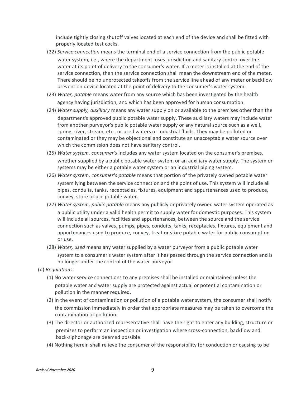include tightly closing shutoff valves located at each end of the device and shall be fitted with properly located test cocks.

(22) *Service connection* means the terminal end of a service connection from the public potable

water system, i.e., where the department loses jurisdiction and sanitary control over the water at its point of delivery to the consumer's water. If a meter is installed at the end of the service connection, then the service connection shall mean the downstream end of the meter. There should be no unprotected takeoffs from the service line ahead of any meter or backflow prevention device located at the point of delivery to the consumer's water system.

- (23) *Water, potable* means water from any source which has been investigated by the health agency having jurisdiction, and which has been approved for human consumption.
- (24) *Water supply, auxiliary* means any water supply on or available to the premises other than the department's approved public potable water supply. These auxiliary waters may include water from another purveyor's public potable water supply or any natural source such as a well, spring, river, stream, etc., or used waters or industrial fluids. They may be polluted or contaminated or they may be objectional and constitute an unacceptable water source over which the commission does not have sanitary control.
- (25) *Water system, consumer's* includes any water system located on the consumer's premises, whether supplied by a public potable water system or an auxiliary water supply. The system or systems may be either a potable water system or an industrial piping system.
- (26) *Water system, consumer's potable* means that portion of the privately owned potable water system lying between the service connection and the point of use. This system will include all pipes, conduits, tanks, receptacles, fixtures, equipment and appurtenances used to produce, convey, store or use potable water.
- (27) *Water system, public potable* means any publicly or privately owned water system operated as a public utility under a valid health permit to supply water for domestic purposes. This system will include all sources, facilities and appurtenances, between the source and the service connection such as valves, pumps, pipes, conduits, tanks, receptacles, fixtures, equipment and appurtenances used to produce, convey, treat or store potable water for public consumption or use.
- (28) *Water, used* means any water supplied by a water purveyor from a public potable water system to a consumer's water system after it has passed through the service connection and is no longer under the control of the water purveyor.
- (d) *Regulations.*
	- (1) No water service connections to any premises shall be installed or maintained unless the potable water and water supply are protected against actual or potential contamination or pollution in the manner required.
	- (2) In the event of contamination or pollution of a potable water system, the consumer shall notify the commission immediately in order that appropriate measures may be taken to overcome the contamination or pollution.
	- (3) The director or authorized representative shall have the right to enter any building, structure or premises to perform an inspection or investigation where cross-connection, backflow and back-siphonage are deemed possible.
	- (4) Nothing herein shall relieve the consumer of the responsibility for conduction or causing to be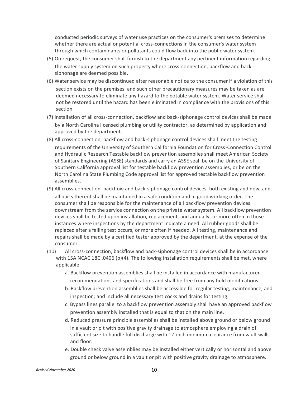conducted periodic surveys of water use practices on the consumer's premises to determine whether there are actual or potential cross-connections in the consumer's water system through which contaminants or pollutants could flow back into the public water system.

- (5) On request, the consumer shall furnish to the department any pertinent information regarding the water supply system on such property where cross-connection, backflow and backsiphonage are deemed possible.
- (6) Water service may be discontinued after reasonable notice to the consumer if a violation of this section exists on the premises, and such other precautionary measures may be taken as are deemed necessary to eliminate any hazard to the potable water system. Water service shall not be restored until the hazard has been eliminated in compliance with the provisions of this section.
- (7) Installation of all cross-connection, backflow and back-siphonage control devices shall be made by a North Carolina licensed plumbing or utility contractor, as determined by application and approved by the department.
- (8) All cross-connection, backflow and back-siphonage control devices shall meet the testing requirements of the University of Southern California Foundation for Cross-Connection Control and Hydraulic Research Testable backflow prevention assemblies shall meet American Society of Sanitary Engineering (ASSE) standards and carry an ASSE seal, be on the University of Southern California approval list for testable backflow prevention assemblies, or be on the North Carolina State Plumbing Code approval list for approved testable backflow prevention assemblies.
- (9) All cross-connection, backflow and back-siphonage control devices, both existing and new, and all parts thereof shall be maintained in a safe condition and in good working order. The consumer shall be responsible for the maintenance of all backflow prevention devices downstream from the service connection on the private water system. All backflow prevention devices shall be tested upon installation, replacement, and annually, or more often in those instances where inspections by the department indicate a need. All rubber goods shall be replaced after a failing test occurs, or more often if needed. All testing, maintenance and repairs shall be made by a certified tester approved by the department, at the expense of the consumer.
- (10) All cross-connection, backflow and back-siphonage control devices shall be in accordance with 15A NCAC 18C .0406 (b)(4). The following installation requirements shall be met, where applicable.
	- a. Backflow prevention assemblies shall be installed in accordance with manufacturer recommendations and specifications and shall be free from any field modifications.
	- b. Backflow prevention assemblies shall be accessible for regular testing, maintenance, and inspection; and include all necessary test cocks and drains for testing.
	- c. Bypass lines parallel to a backflow prevention assembly shall have an approved backflow prevention assembly installed that is equal to that on the main line.
	- d. Reduced pressure principle assemblies shall be installed above ground or below ground in a vault or pit with positive gravity drainage to atmosphere employing a drain of sufficient size to handle full discharge with 12-inch minimum clearance from vault walls and floor.
	- e. Double check valve assemblies may be installed either vertically or horizontal and above ground or below ground in a vault or pit with positive gravity drainage to atmosphere.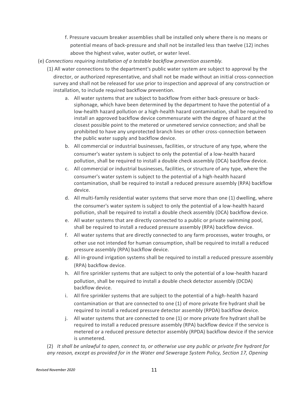- f. Pressure vacuum breaker assemblies shall be installed only where there is no means or potential means of back-pressure and shall not be installed less than twelve (12) inches above the highest valve, water outlet, or water level.
- (e) *Connections requiring installation of a testable backflow prevention assembly.*
	- (1) All water connections to the department's public water system are subject to approval by the director, or authorized representative, and shall not be made without an initial cross-connection survey and shall not be released for use prior to inspection and approval of any construction or installation, to include required backflow prevention.
		- a. All water systems that are subject to backflow from either back-pressure or backsiphonage, which have been determined by the department to have the potential of a low-health hazard pollution or a high-health hazard contamination, shall be required to install an approved backflow device commensurate with the degree of hazard at the closest possible point to the metered or unmetered service connection; and shall be prohibited to have any unprotected branch lines or other cross-connection between the public water supply and backflow device.
		- b. All commercial or industrial businesses, facilities, or structure of any type, where the consumer's water system is subject to only the potential of a low-health hazard pollution, shall be required to install a double check assembly (DCA) backflow device.
		- c. All commercial or industrial businesses, facilities, or structure of any type, where the consumer's water system is subject to the potential of a high-health hazard contamination, shall be required to install a reduced pressure assembly (RPA) backflow device.
		- d. All multi-family residential water systems that serve more than one (1) dwelling, where the consumer's water system is subject to only the potential of a low-health hazard pollution, shall be required to install a double check assembly (DCA) backflow device.
		- e. All water systems that are directly connected to a public or private swimming pool, shall be required to install a reduced pressure assembly (RPA) backflow device.
		- f. All water systems that are directly connected to any farm processes, water troughs, or other use not intended for human consumption, shall be required to install a reduced pressure assembly (RPA) backflow device.
		- g. All in-ground irrigation systems shall be required to install a reduced pressure assembly (RPA) backflow device.
		- h. All fire sprinkler systems that are subject to only the potential of a low-health hazard pollution, shall be required to install a double check detector assembly (DCDA) backflow device.
		- i. All fire sprinkler systems that are subject to the potential of a high-health hazard contamination or that are connected to one (1) of more private fire hydrant shall be required to install a reduced pressure detector assembly (RPDA) backflow device.
		- j. All water systems that are connected to one (1) or more private fire hydrant shall be required to install a reduced pressure assembly (RPA) backflow device if the service is metered or a reduced pressure detector assembly (RPDA) backflow device if the service is unmetered.

(2) *It shall be unlawful to open, connect to, or otherwise use any public or private fire hydrant for any reason, except as provided for in the Water and Sewerage System Policy, Section 17, Opening*